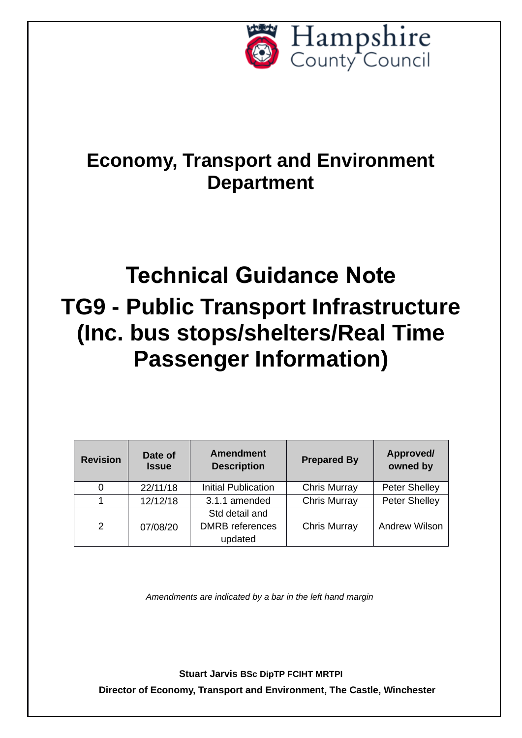

## **Economy, Transport and Environment Department**

# **Technical Guidance Note TG9 - Public Transport Infrastructure (Inc. bus stops/shelters/Real Time Passenger Information)**

| <b>Revision</b> | Date of<br><b>Issue</b> | <b>Amendment</b><br><b>Description</b>              | <b>Prepared By</b>  | Approved/<br>owned by |
|-----------------|-------------------------|-----------------------------------------------------|---------------------|-----------------------|
|                 | 22/11/18                | <b>Initial Publication</b>                          | <b>Chris Murray</b> | <b>Peter Shelley</b>  |
|                 | 12/12/18                | 3.1.1 amended                                       | <b>Chris Murray</b> | <b>Peter Shelley</b>  |
| 2               | 07/08/20                | Std detail and<br><b>DMRB</b> references<br>updated | <b>Chris Murray</b> | <b>Andrew Wilson</b>  |

*Amendments are indicated by a bar in the left hand margin*

**Stuart Jarvis BSc DipTP FCIHT MRTPI Director of Economy, Transport and Environment, The Castle, Winchester**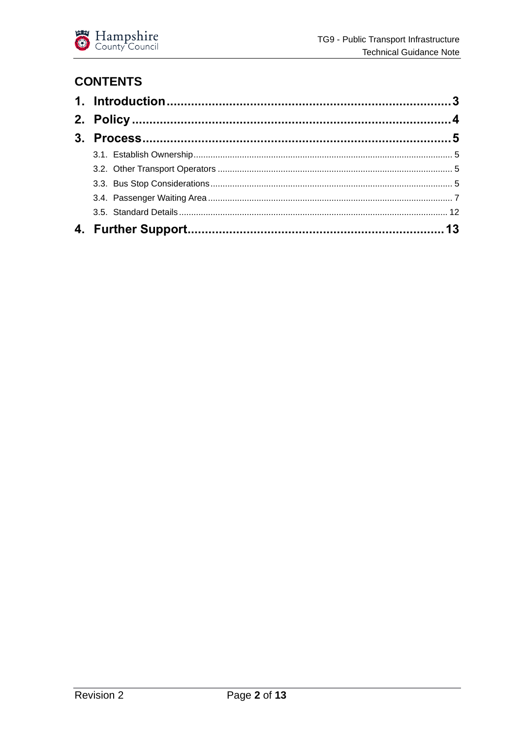

## **CONTENTS**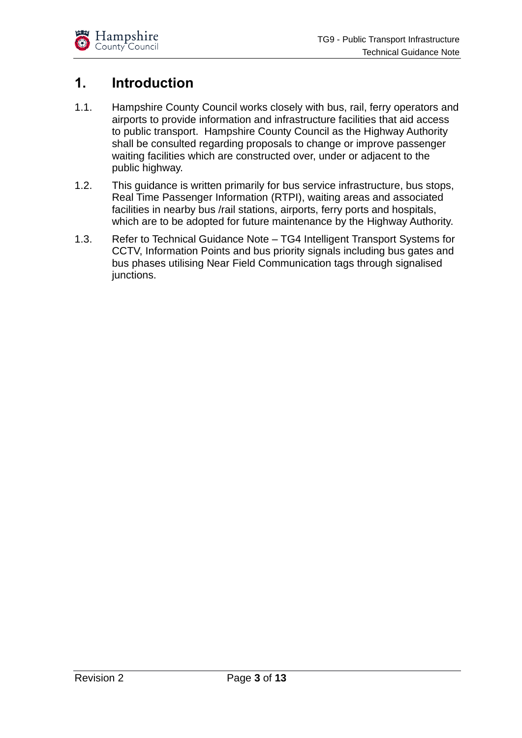

## <span id="page-2-0"></span>**1. Introduction**

- 1.1. Hampshire County Council works closely with bus, rail, ferry operators and airports to provide information and infrastructure facilities that aid access to public transport. Hampshire County Council as the Highway Authority shall be consulted regarding proposals to change or improve passenger waiting facilities which are constructed over, under or adjacent to the public highway.
- 1.2. This guidance is written primarily for bus service infrastructure, bus stops, Real Time Passenger Information (RTPI), waiting areas and associated facilities in nearby bus /rail stations, airports, ferry ports and hospitals, which are to be adopted for future maintenance by the Highway Authority.
- 1.3. Refer to Technical Guidance Note TG4 Intelligent Transport Systems for CCTV, Information Points and bus priority signals including bus gates and bus phases utilising Near Field Communication tags through signalised junctions.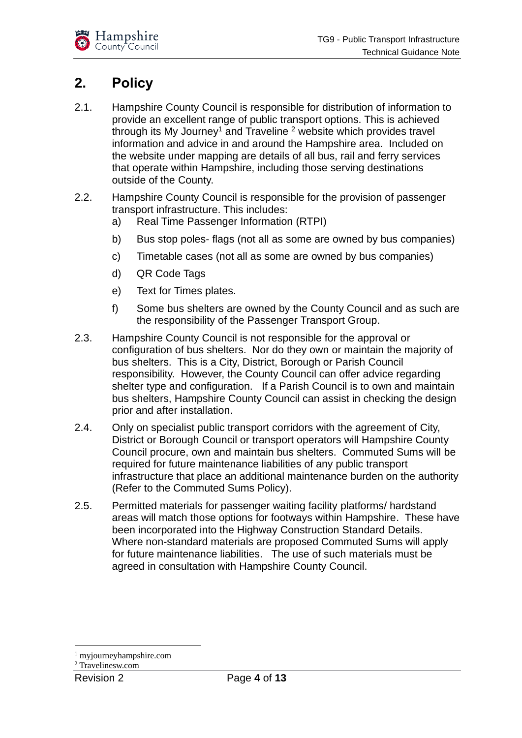

## <span id="page-3-0"></span>**2. Policy**

- 2.1. Hampshire County Council is responsible for distribution of information to provide an excellent range of public transport options. This is achieved through its My Journey<sup>1</sup> and Traveline  $2$  website which provides travel information and advice in and around the Hampshire area. Included on the website under mapping are details of all bus, rail and ferry services that operate within Hampshire, including those serving destinations outside of the County.
- 2.2. Hampshire County Council is responsible for the provision of passenger transport infrastructure. This includes:
	- a) Real Time Passenger Information (RTPI)
	- b) Bus stop poles- flags (not all as some are owned by bus companies)
	- c) Timetable cases (not all as some are owned by bus companies)
	- d) QR Code Tags
	- e) Text for Times plates.
	- f) Some bus shelters are owned by the County Council and as such are the responsibility of the Passenger Transport Group.
- 2.3. Hampshire County Council is not responsible for the approval or configuration of bus shelters. Nor do they own or maintain the majority of bus shelters. This is a City, District, Borough or Parish Council responsibility. However, the County Council can offer advice regarding shelter type and configuration. If a Parish Council is to own and maintain bus shelters, Hampshire County Council can assist in checking the design prior and after installation.
- 2.4. Only on specialist public transport corridors with the agreement of City, District or Borough Council or transport operators will Hampshire County Council procure, own and maintain bus shelters. Commuted Sums will be required for future maintenance liabilities of any public transport infrastructure that place an additional maintenance burden on the authority (Refer to the Commuted Sums Policy).
- 2.5. Permitted materials for passenger waiting facility platforms/ hardstand areas will match those options for footways within Hampshire. These have been incorporated into the Highway Construction Standard Details. Where non-standard materials are proposed Commuted Sums will apply for future maintenance liabilities. The use of such materials must be agreed in consultation with Hampshire County Council.

<sup>1</sup> myjourneyhampshire.com

<sup>2</sup> Travelinesw.com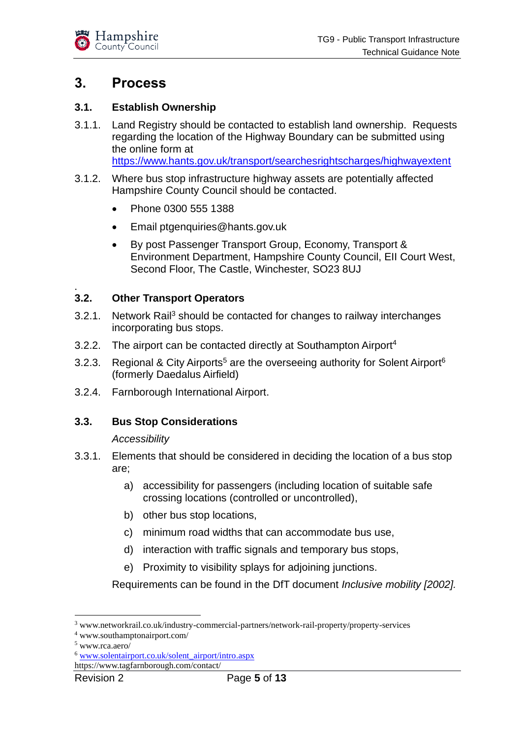

## <span id="page-4-0"></span>**3. Process**

#### <span id="page-4-1"></span>**3.1. Establish Ownership**

- 3.1.1. Land Registry should be contacted to establish land ownership. Requests regarding the location of the Highway Boundary can be submitted using the online form at <https://www.hants.gov.uk/transport/searchesrightscharges/highwayextent>
- 3.1.2. Where bus stop infrastructure highway assets are potentially affected Hampshire County Council should be contacted.
	- Phone 0300 555 1388
	- Email ptgenquiries@hants.gov.uk
	- By post Passenger Transport Group, Economy, Transport & Environment Department, Hampshire County Council, EII Court West, Second Floor, The Castle, Winchester, SO23 8UJ

#### <span id="page-4-2"></span>. **3.2. Other Transport Operators**

- 3.2.1. Network Rail<sup>3</sup> should be contacted for changes to railway interchanges incorporating bus stops.
- 3.2.2. The airport can be contacted directly at Southampton Airport<sup>4</sup>
- 3.2.3. Regional & City Airports<sup>5</sup> are the overseeing authority for Solent Airport<sup>6</sup> (formerly Daedalus Airfield)
- 3.2.4. Farnborough International Airport.

#### <span id="page-4-3"></span>**3.3. Bus Stop Considerations**

#### *Accessibility*

- 3.3.1. Elements that should be considered in deciding the location of a bus stop are;
	- a) accessibility for passengers (including location of suitable safe crossing locations (controlled or uncontrolled),
	- b) other bus stop locations,
	- c) minimum road widths that can accommodate bus use,
	- d) interaction with traffic signals and temporary bus stops,
	- e) Proximity to visibility splays for adjoining junctions.

Requirements can be found in the DfT document *Inclusive mobility [2002].*

<sup>3</sup> www.networkrail.co.uk/industry-commercial-partners/network-rail-property/property-services

<sup>4</sup> www.southamptonairport.com/

<sup>5</sup> www.rca.aero/

<sup>6</sup> [www.solentairport.co.uk/solent\\_airport/intro.aspx](http://www.solentairport.co.uk/solent_airport/intro.aspx)

https://www.tagfarnborough.com/contact/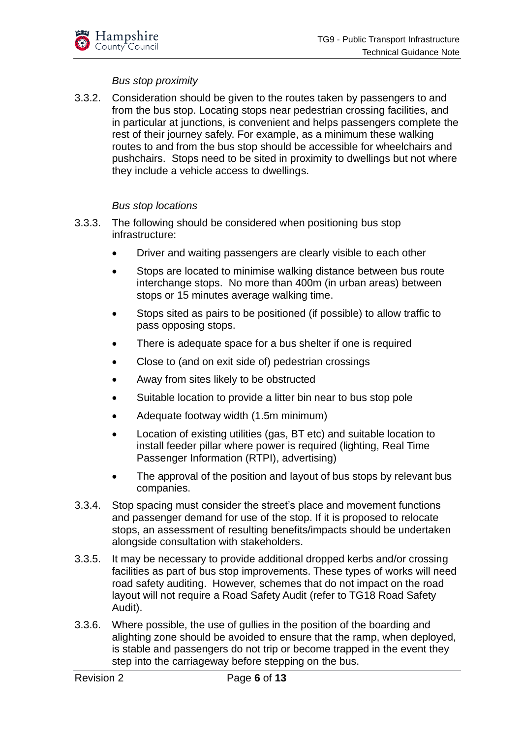#### *Bus stop proximity*

3.3.2. Consideration should be given to the routes taken by passengers to and from the bus stop. Locating stops near pedestrian crossing facilities, and in particular at junctions, is convenient and helps passengers complete the rest of their journey safely. For example, as a minimum these walking routes to and from the bus stop should be accessible for wheelchairs and pushchairs. Stops need to be sited in proximity to dwellings but not where they include a vehicle access to dwellings.

#### *Bus stop locations*

- 3.3.3. The following should be considered when positioning bus stop infrastructure:
	- Driver and waiting passengers are clearly visible to each other
	- Stops are located to minimise walking distance between bus route interchange stops. No more than 400m (in urban areas) between stops or 15 minutes average walking time.
	- Stops sited as pairs to be positioned (if possible) to allow traffic to pass opposing stops.
	- There is adequate space for a bus shelter if one is required
	- Close to (and on exit side of) pedestrian crossings
	- Away from sites likely to be obstructed
	- Suitable location to provide a litter bin near to bus stop pole
	- Adequate footway width (1.5m minimum)
	- Location of existing utilities (gas, BT etc) and suitable location to install feeder pillar where power is required (lighting, Real Time Passenger Information (RTPI), advertising)
	- The approval of the position and layout of bus stops by relevant bus companies.
- 3.3.4. Stop spacing must consider the street's place and movement functions and passenger demand for use of the stop. If it is proposed to relocate stops, an assessment of resulting benefits/impacts should be undertaken alongside consultation with stakeholders.
- 3.3.5. It may be necessary to provide additional dropped kerbs and/or crossing facilities as part of bus stop improvements. These types of works will need road safety auditing. However, schemes that do not impact on the road layout will not require a Road Safety Audit (refer to TG18 Road Safety Audit).
- 3.3.6. Where possible, the use of gullies in the position of the boarding and alighting zone should be avoided to ensure that the ramp, when deployed, is stable and passengers do not trip or become trapped in the event they step into the carriageway before stepping on the bus.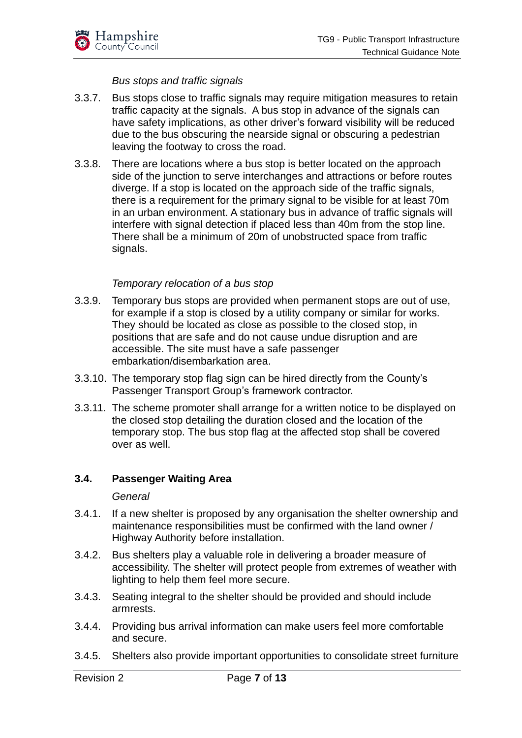

#### *Bus stops and traffic signals*

- 3.3.7. Bus stops close to traffic signals may require mitigation measures to retain traffic capacity at the signals. A bus stop in advance of the signals can have safety implications, as other driver's forward visibility will be reduced due to the bus obscuring the nearside signal or obscuring a pedestrian leaving the footway to cross the road.
- 3.3.8. There are locations where a bus stop is better located on the approach side of the junction to serve interchanges and attractions or before routes diverge. If a stop is located on the approach side of the traffic signals, there is a requirement for the primary signal to be visible for at least 70m in an urban environment. A stationary bus in advance of traffic signals will interfere with signal detection if placed less than 40m from the stop line. There shall be a minimum of 20m of unobstructed space from traffic signals.

#### *Temporary relocation of a bus stop*

- 3.3.9. Temporary bus stops are provided when permanent stops are out of use, for example if a stop is closed by a utility company or similar for works. They should be located as close as possible to the closed stop, in positions that are safe and do not cause undue disruption and are accessible. The site must have a safe passenger embarkation/disembarkation area.
- 3.3.10. The temporary stop flag sign can be hired directly from the County's Passenger Transport Group's framework contractor.
- 3.3.11. The scheme promoter shall arrange for a written notice to be displayed on the closed stop detailing the duration closed and the location of the temporary stop. The bus stop flag at the affected stop shall be covered over as well.

#### <span id="page-6-0"></span>**3.4. Passenger Waiting Area**

#### *General*

- 3.4.1. If a new shelter is proposed by any organisation the shelter ownership and maintenance responsibilities must be confirmed with the land owner / Highway Authority before installation.
- 3.4.2. Bus shelters play a valuable role in delivering a broader measure of accessibility. The shelter will protect people from extremes of weather with lighting to help them feel more secure.
- 3.4.3. Seating integral to the shelter should be provided and should include armrests.
- 3.4.4. Providing bus arrival information can make users feel more comfortable and secure.
- 3.4.5. Shelters also provide important opportunities to consolidate street furniture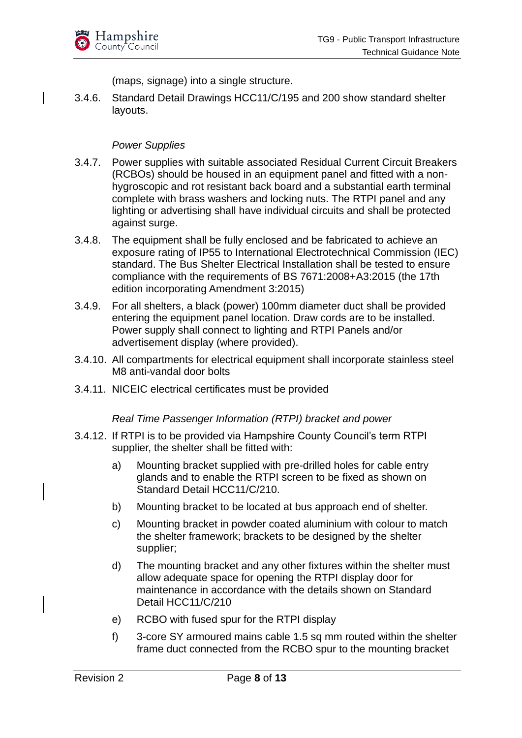(maps, signage) into a single structure.

3.4.6. Standard Detail Drawings HCC11/C/195 and 200 show standard shelter layouts.

#### *Power Supplies*

- 3.4.7. Power supplies with suitable associated Residual Current Circuit Breakers (RCBOs) should be housed in an equipment panel and fitted with a nonhygroscopic and rot resistant back board and a substantial earth terminal complete with brass washers and locking nuts. The RTPI panel and any lighting or advertising shall have individual circuits and shall be protected against surge.
- 3.4.8. The equipment shall be fully enclosed and be fabricated to achieve an exposure rating of IP55 to International Electrotechnical Commission (IEC) standard. The Bus Shelter Electrical Installation shall be tested to ensure compliance with the requirements of BS 7671:2008+A3:2015 (the 17th edition incorporating Amendment 3:2015)
- 3.4.9. For all shelters, a black (power) 100mm diameter duct shall be provided entering the equipment panel location. Draw cords are to be installed. Power supply shall connect to lighting and RTPI Panels and/or advertisement display (where provided).
- 3.4.10. All compartments for electrical equipment shall incorporate stainless steel M8 anti-vandal door bolts
- 3.4.11. NICEIC electrical certificates must be provided

*Real Time Passenger Information (RTPI) bracket and power*

- 3.4.12. If RTPI is to be provided via Hampshire County Council's term RTPI supplier, the shelter shall be fitted with:
	- a) Mounting bracket supplied with pre-drilled holes for cable entry glands and to enable the RTPI screen to be fixed as shown on Standard Detail HCC11/C/210.
	- b) Mounting bracket to be located at bus approach end of shelter.
	- c) Mounting bracket in powder coated aluminium with colour to match the shelter framework; brackets to be designed by the shelter supplier;
	- d) The mounting bracket and any other fixtures within the shelter must allow adequate space for opening the RTPI display door for maintenance in accordance with the details shown on Standard Detail HCC11/C/210
	- e) RCBO with fused spur for the RTPI display
	- f) 3-core SY armoured mains cable 1.5 sq mm routed within the shelter frame duct connected from the RCBO spur to the mounting bracket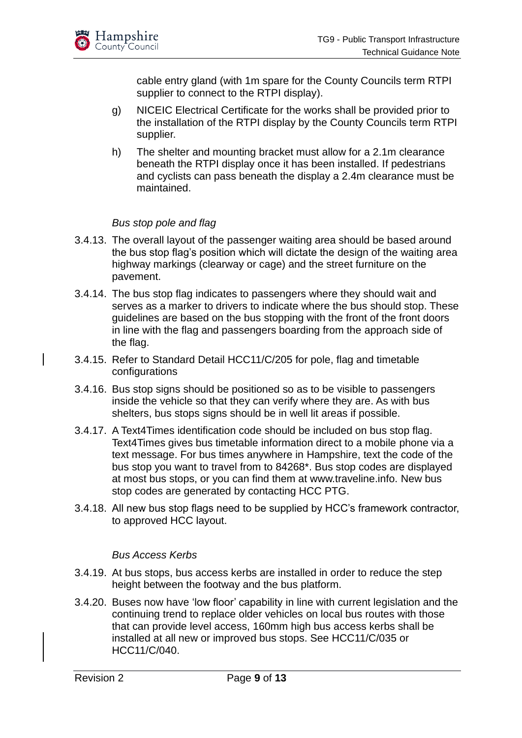

cable entry gland (with 1m spare for the County Councils term RTPI supplier to connect to the RTPI display).

- g) NICEIC Electrical Certificate for the works shall be provided prior to the installation of the RTPI display by the County Councils term RTPI supplier.
- h) The shelter and mounting bracket must allow for a 2.1m clearance beneath the RTPI display once it has been installed. If pedestrians and cyclists can pass beneath the display a 2.4m clearance must be maintained.

#### *Bus stop pole and flag*

- 3.4.13. The overall layout of the passenger waiting area should be based around the bus stop flag's position which will dictate the design of the waiting area highway markings (clearway or cage) and the street furniture on the pavement.
- 3.4.14. The bus stop flag indicates to passengers where they should wait and serves as a marker to drivers to indicate where the bus should stop. These guidelines are based on the bus stopping with the front of the front doors in line with the flag and passengers boarding from the approach side of the flag.
- 3.4.15. Refer to Standard Detail HCC11/C/205 for pole, flag and timetable configurations
- 3.4.16. Bus stop signs should be positioned so as to be visible to passengers inside the vehicle so that they can verify where they are. As with bus shelters, bus stops signs should be in well lit areas if possible.
- 3.4.17. A Text4Times identification code should be included on bus stop flag. Text4Times gives bus timetable information direct to a mobile phone via a text message. For bus times anywhere in Hampshire, text the code of the bus stop you want to travel from to 84268\*. Bus stop codes are displayed at most bus stops, or you can find them at www.traveline.info. New bus stop codes are generated by contacting HCC PTG.
- 3.4.18. All new bus stop flags need to be supplied by HCC's framework contractor, to approved HCC layout.

#### *Bus Access Kerbs*

- 3.4.19. At bus stops, bus access kerbs are installed in order to reduce the step height between the footway and the bus platform.
- 3.4.20. Buses now have 'low floor' capability in line with current legislation and the continuing trend to replace older vehicles on local bus routes with those that can provide level access, 160mm high bus access kerbs shall be installed at all new or improved bus stops. See HCC11/C/035 or HCC11/C/040.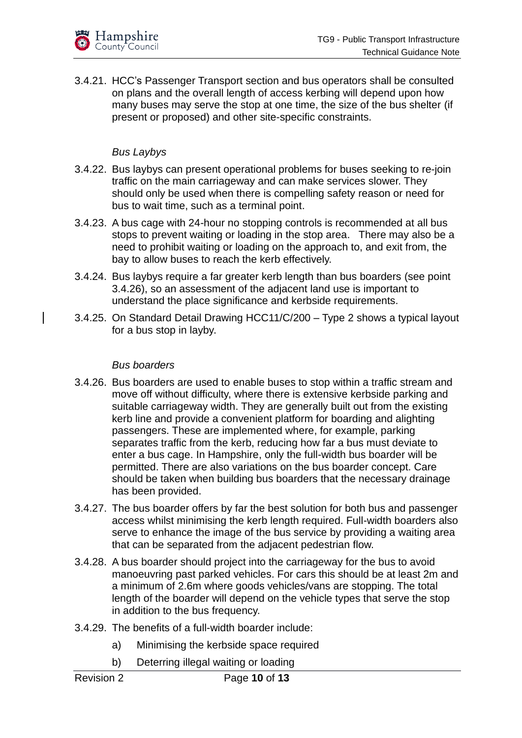3.4.21. HCC's Passenger Transport section and bus operators shall be consulted on plans and the overall length of access kerbing will depend upon how many buses may serve the stop at one time, the size of the bus shelter (if present or proposed) and other site-specific constraints.

#### *Bus Laybys*

- 3.4.22. Bus laybys can present operational problems for buses seeking to re-join traffic on the main carriageway and can make services slower. They should only be used when there is compelling safety reason or need for bus to wait time, such as a terminal point.
- 3.4.23. A bus cage with 24-hour no stopping controls is recommended at all bus stops to prevent waiting or loading in the stop area. There may also be a need to prohibit waiting or loading on the approach to, and exit from, the bay to allow buses to reach the kerb effectively.
- 3.4.24. Bus laybys require a far greater kerb length than bus boarders (see point 3.4.26), so an assessment of the adjacent land use is important to understand the place significance and kerbside requirements.
- 3.4.25. On Standard Detail Drawing HCC11/C/200 Type 2 shows a typical layout for a bus stop in layby.

#### *Bus boarders*

- 3.4.26. Bus boarders are used to enable buses to stop within a traffic stream and move off without difficulty, where there is extensive kerbside parking and suitable carriageway width. They are generally built out from the existing kerb line and provide a convenient platform for boarding and alighting passengers. These are implemented where, for example, parking separates traffic from the kerb, reducing how far a bus must deviate to enter a bus cage. In Hampshire, only the full-width bus boarder will be permitted. There are also variations on the bus boarder concept. Care should be taken when building bus boarders that the necessary drainage has been provided.
- 3.4.27. The bus boarder offers by far the best solution for both bus and passenger access whilst minimising the kerb length required. Full-width boarders also serve to enhance the image of the bus service by providing a waiting area that can be separated from the adjacent pedestrian flow.
- 3.4.28. A bus boarder should project into the carriageway for the bus to avoid manoeuvring past parked vehicles. For cars this should be at least 2m and a minimum of 2.6m where goods vehicles/vans are stopping. The total length of the boarder will depend on the vehicle types that serve the stop in addition to the bus frequency.
- 3.4.29. The benefits of a full-width boarder include:
	- a) Minimising the kerbside space required
	- b) Deterring illegal waiting or loading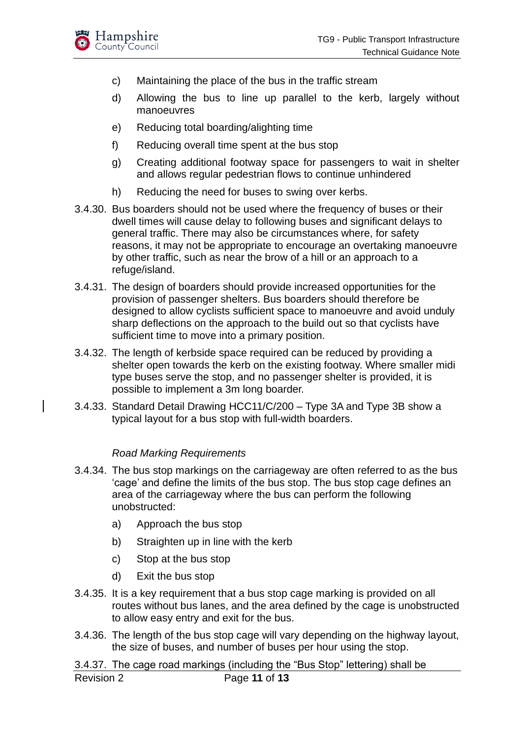

- c) Maintaining the place of the bus in the traffic stream
- d) Allowing the bus to line up parallel to the kerb, largely without manoeuvres
- e) Reducing total boarding/alighting time
- f) Reducing overall time spent at the bus stop
- g) Creating additional footway space for passengers to wait in shelter and allows regular pedestrian flows to continue unhindered
- h) Reducing the need for buses to swing over kerbs.
- 3.4.30. Bus boarders should not be used where the frequency of buses or their dwell times will cause delay to following buses and significant delays to general traffic. There may also be circumstances where, for safety reasons, it may not be appropriate to encourage an overtaking manoeuvre by other traffic, such as near the brow of a hill or an approach to a refuge/island.
- 3.4.31. The design of boarders should provide increased opportunities for the provision of passenger shelters. Bus boarders should therefore be designed to allow cyclists sufficient space to manoeuvre and avoid unduly sharp deflections on the approach to the build out so that cyclists have sufficient time to move into a primary position.
- 3.4.32. The length of kerbside space required can be reduced by providing a shelter open towards the kerb on the existing footway. Where smaller midi type buses serve the stop, and no passenger shelter is provided, it is possible to implement a 3m long boarder.
- 3.4.33. Standard Detail Drawing HCC11/C/200 Type 3A and Type 3B show a typical layout for a bus stop with full-width boarders.

#### *Road Marking Requirements*

- 3.4.34. The bus stop markings on the carriageway are often referred to as the bus 'cage' and define the limits of the bus stop. The bus stop cage defines an area of the carriageway where the bus can perform the following unobstructed:
	- a) Approach the bus stop
	- b) Straighten up in line with the kerb
	- c) Stop at the bus stop
	- d) Exit the bus stop
- 3.4.35. It is a key requirement that a bus stop cage marking is provided on all routes without bus lanes, and the area defined by the cage is unobstructed to allow easy entry and exit for the bus.
- 3.4.36. The length of the bus stop cage will vary depending on the highway layout, the size of buses, and number of buses per hour using the stop.

Revision 2 Page **11** of **13** 3.4.37. The cage road markings (including the "Bus Stop" lettering) shall be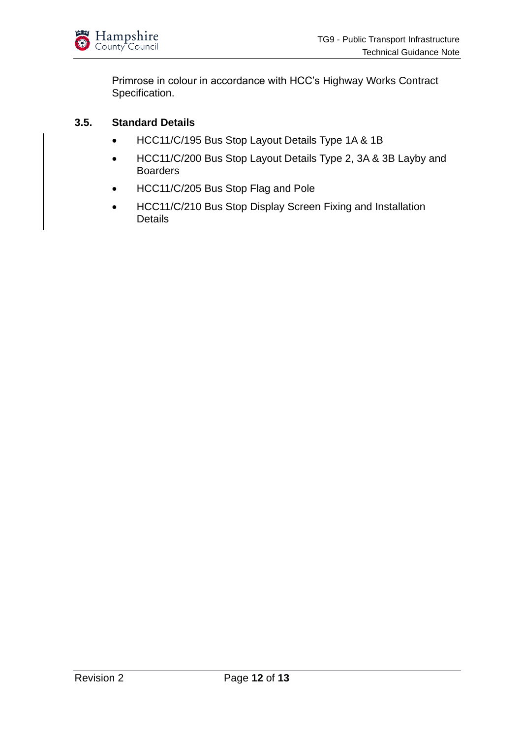

Primrose in colour in accordance with HCC's Highway Works Contract Specification.

#### <span id="page-11-0"></span>**3.5. Standard Details**

- HCC11/C/195 Bus Stop Layout Details Type 1A & 1B
- HCC11/C/200 Bus Stop Layout Details Type 2, 3A & 3B Layby and Boarders
- HCC11/C/205 Bus Stop Flag and Pole
- HCC11/C/210 Bus Stop Display Screen Fixing and Installation **Details**